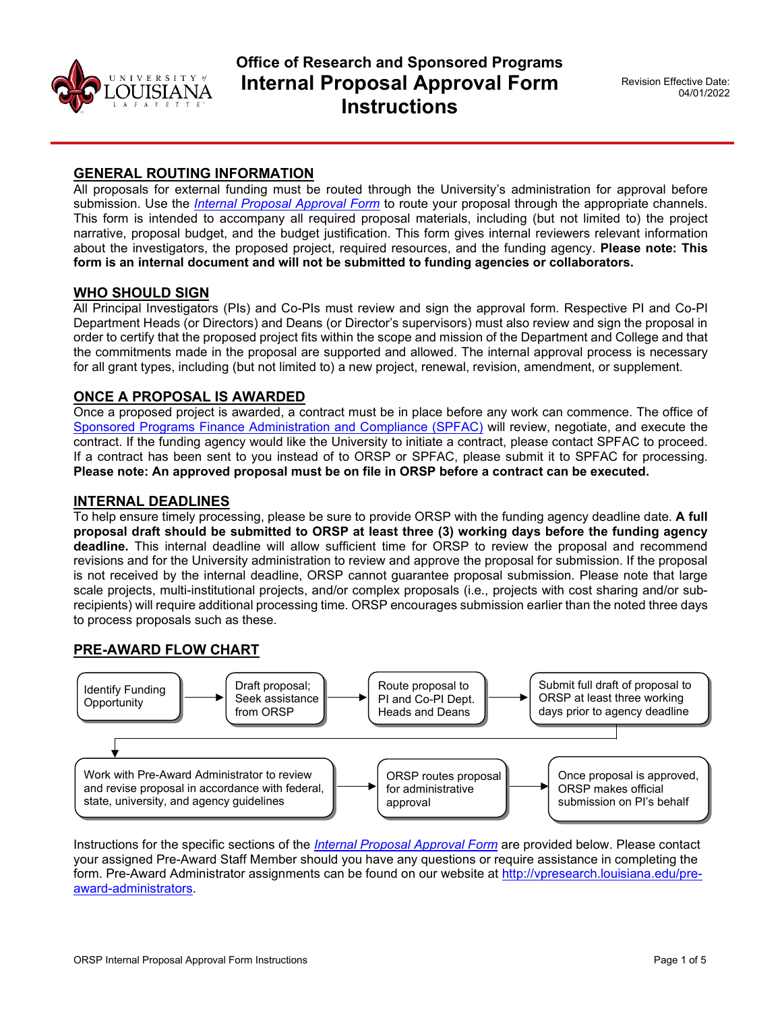

# **Office of Research and Sponsored Programs Internal Proposal Approval Form Instructions**

# **GENERAL ROUTING INFORMATION**

All proposals for external funding must be routed through the University's administration for approval before submission. Use the *[Internal Proposal Approval Form](https://vpresearch.louisiana.edu/investigator-toolkit/forms-complete)* to route your proposal through the appropriate channels. This form is intended to accompany all required proposal materials, including (but not limited to) the project narrative, proposal budget, and the budget justification. This form gives internal reviewers relevant information about the investigators, the proposed project, required resources, and the funding agency. **Please note: This form is an internal document and will not be submitted to funding agencies or collaborators.**

#### **WHO SHOULD SIGN**

All Principal Investigators (PIs) and Co-PIs must review and sign the approval form. Respective PI and Co-PI Department Heads (or Directors) and Deans (or Director's supervisors) must also review and sign the proposal in order to certify that the proposed project fits within the scope and mission of the Department and College and that the commitments made in the proposal are supported and allowed. The internal approval process is necessary for all grant types, including (but not limited to) a new project, renewal, revision, amendment, or supplement.

#### **ONCE A PROPOSAL IS AWARDED**

Once a proposed project is awarded, a contract must be in place before any work can commence. The office of [Sponsored Programs Finance Administration and Compliance \(SPFAC\)](http://vpresearch.louisiana.edu/post-award) will review, negotiate, and execute the contract. If the funding agency would like the University to initiate a contract, please contact SPFAC to proceed. If a contract has been sent to you instead of to ORSP or SPFAC, please submit it to SPFAC for processing. **Please note: An approved proposal must be on file in ORSP before a contract can be executed.** 

#### **INTERNAL DEADLINES**

To help ensure timely processing, please be sure to provide ORSP with the funding agency deadline date. **A full proposal draft should be submitted to ORSP at least three (3) working days before the funding agency deadline.** This internal deadline will allow sufficient time for ORSP to review the proposal and recommend revisions and for the University administration to review and approve the proposal for submission. If the proposal is not received by the internal deadline, ORSP cannot guarantee proposal submission. Please note that large scale projects, multi-institutional projects, and/or complex proposals (i.e., projects with cost sharing and/or subrecipients) will require additional processing time. ORSP encourages submission earlier than the noted three days to process proposals such as these.

#### **PRE-AWARD FLOW CHART**



Instructions for the specific sections of the *[Internal Proposal Approval Form](https://vpresearch.louisiana.edu/investigator-toolkit/forms-complete)* are provided below. Please contact your assigned Pre-Award Staff Member should you have any questions or require assistance in completing the form. Pre-Award Administrator assignments can be found on our website at [http://vpresearch.louisiana.edu/pre](http://vpresearch.louisiana.edu/pre-award-administrators)[award-administrators.](http://vpresearch.louisiana.edu/pre-award-administrators)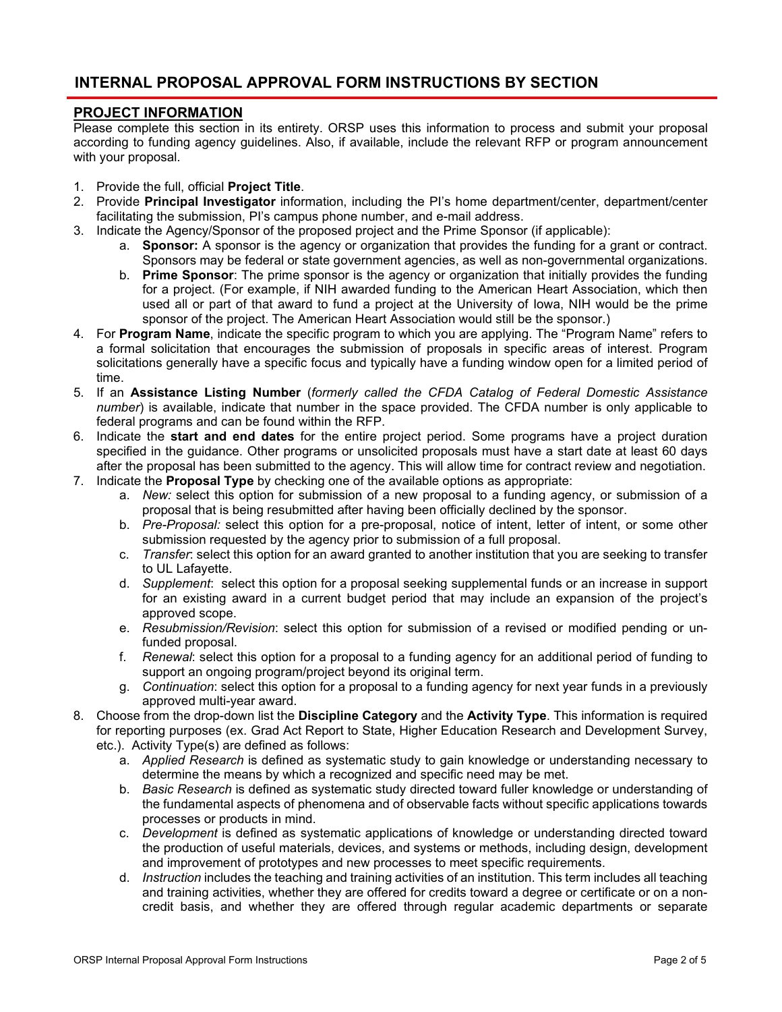# **INTERNAL PROPOSAL APPROVAL FORM INSTRUCTIONS BY SECTION**

# **PROJECT INFORMATION**

Please complete this section in its entirety. ORSP uses this information to process and submit your proposal according to funding agency guidelines. Also, if available, include the relevant RFP or program announcement with your proposal.

- 1. Provide the full, official **Project Title**.
- 2. Provide **Principal Investigator** information, including the PI's home department/center, department/center facilitating the submission, PI's campus phone number, and e-mail address.
- 3. Indicate the Agency/Sponsor of the proposed project and the Prime Sponsor (if applicable):
	- a. **Sponsor:** A sponsor is the agency or organization that provides the funding for a grant or contract. Sponsors may be federal or state government agencies, as well as non-governmental organizations.
	- b. **Prime Sponsor**: The prime sponsor is the agency or organization that initially provides the funding for a project. (For example, if NIH awarded funding to the American Heart Association, which then used all or part of that award to fund a project at the University of Iowa, NIH would be the prime sponsor of the project. The American Heart Association would still be the sponsor.)
- 4. For **Program Name**, indicate the specific program to which you are applying. The "Program Name" refers to a formal solicitation that encourages the submission of proposals in specific areas of interest. Program solicitations generally have a specific focus and typically have a funding window open for a limited period of time.
- 5. If an **Assistance Listing Number** (*formerly called the CFDA Catalog of Federal Domestic Assistance number*) is available, indicate that number in the space provided. The CFDA number is only applicable to federal programs and can be found within the RFP.
- 6. Indicate the **start and end dates** for the entire project period. Some programs have a project duration specified in the guidance. Other programs or unsolicited proposals must have a start date at least 60 days after the proposal has been submitted to the agency. This will allow time for contract review and negotiation.
- 7. Indicate the **Proposal Type** by checking one of the available options as appropriate:
	- a. *New:* select this option for submission of a new proposal to a funding agency, or submission of a proposal that is being resubmitted after having been officially declined by the sponsor.
	- b. *Pre-Proposal:* select this option for a pre-proposal, notice of intent, letter of intent, or some other submission requested by the agency prior to submission of a full proposal.
	- c. *Transfer*: select this option for an award granted to another institution that you are seeking to transfer to UL Lafayette.
	- d. *Supplement*: select this option for a proposal seeking supplemental funds or an increase in support for an existing award in a current budget period that may include an expansion of the project's approved scope.
	- e. *Resubmission/Revision*: select this option for submission of a revised or modified pending or unfunded proposal.
	- f. *Renewal*: select this option for a proposal to a funding agency for an additional period of funding to support an ongoing program/project beyond its original term.
	- g. *Continuation*: select this option for a proposal to a funding agency for next year funds in a previously approved multi-year award.
- 8. Choose from the drop-down list the **Discipline Category** and the **Activity Type**. This information is required for reporting purposes (ex. Grad Act Report to State, Higher Education Research and Development Survey, etc.). Activity Type(s) are defined as follows:
	- a. *Applied Research* is defined as systematic study to gain knowledge or understanding necessary to determine the means by which a recognized and specific need may be met.
	- b. *Basic Research* is defined as systematic study directed toward fuller knowledge or understanding of the fundamental aspects of phenomena and of observable facts without specific applications towards processes or products in mind.
	- c. *Development* is defined as systematic applications of knowledge or understanding directed toward the production of useful materials, devices, and systems or methods, including design, development and improvement of prototypes and new processes to meet specific requirements.
	- d. *Instruction* includes the teaching and training activities of an institution. This term includes all teaching and training activities, whether they are offered for credits toward a degree or certificate or on a noncredit basis, and whether they are offered through regular academic departments or separate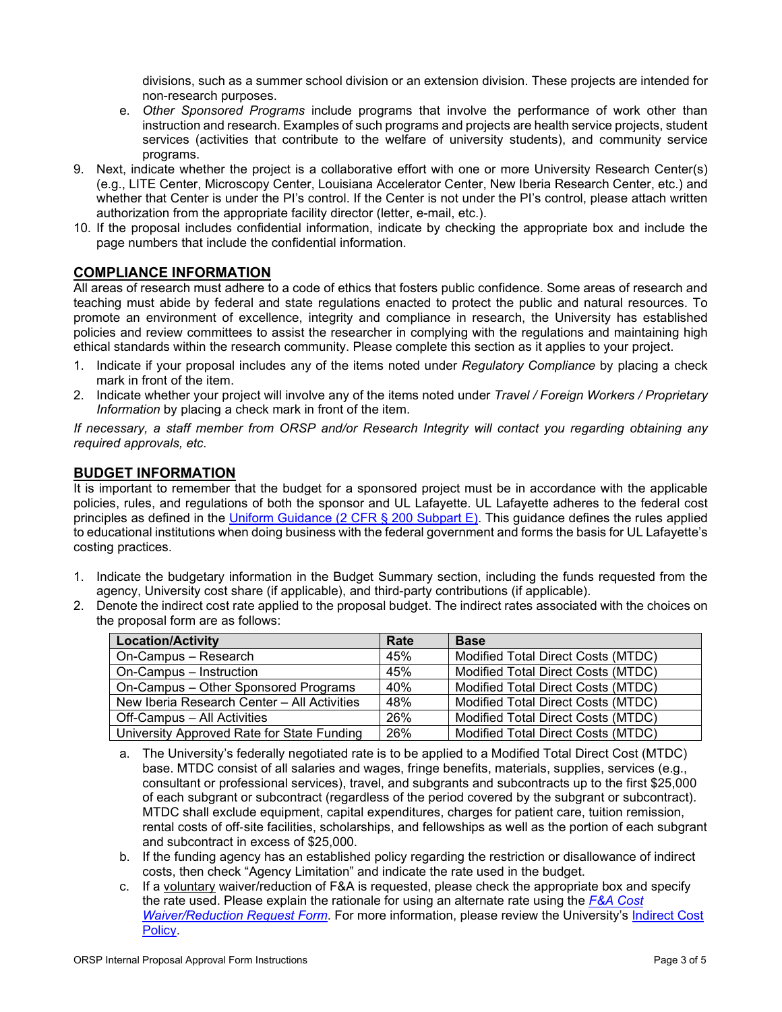divisions, such as a summer school division or an extension division. These projects are intended for non-research purposes.

- e. *Other Sponsored Programs* include programs that involve the performance of work other than instruction and research. Examples of such programs and projects are health service projects, student services (activities that contribute to the welfare of university students), and community service programs.
- 9. Next, indicate whether the project is a collaborative effort with one or more University Research Center(s) (e.g., LITE Center, Microscopy Center, Louisiana Accelerator Center, New Iberia Research Center, etc.) and whether that Center is under the PI's control. If the Center is not under the PI's control, please attach written authorization from the appropriate facility director (letter, e-mail, etc.).
- 10. If the proposal includes confidential information, indicate by checking the appropriate box and include the page numbers that include the confidential information.

# **COMPLIANCE INFORMATION**

All areas of research must adhere to a code of ethics that fosters public confidence. Some areas of research and teaching must abide by federal and state regulations enacted to protect the public and natural resources. To promote an environment of excellence, integrity and compliance in research, the University has established policies and review committees to assist the researcher in complying with the regulations and maintaining high ethical standards within the research community. Please complete this section as it applies to your project.

- 1. Indicate if your proposal includes any of the items noted under *Regulatory Compliance* by placing a check mark in front of the item.
- 2. Indicate whether your project will involve any of the items noted under *Travel / Foreign Workers / Proprietary Information* by placing a check mark in front of the item.

*If necessary, a staff member from ORSP and/or Research Integrity will contact you regarding obtaining any required approvals, etc.*

# **BUDGET INFORMATION**

It is important to remember that the budget for a sponsored project must be in accordance with the applicable policies, rules, and regulations of both the sponsor and UL Lafayette. UL Lafayette adheres to the federal cost principles as defined in the [Uniform Guidance \(2 CFR § 200](https://www.ecfr.gov/current/title-2/subtitle-A/chapter-II/part-200/subpart-E) Subpart E). This guidance defines the rules applied to educational institutions when doing business with the federal government and forms the basis for UL Lafayette's costing practices.

- 1. Indicate the budgetary information in the Budget Summary section, including the funds requested from the agency, University cost share (if applicable), and third-party contributions (if applicable).
- 2. Denote the indirect cost rate applied to the proposal budget. The indirect rates associated with the choices on the proposal form are as follows:

| <b>Location/Activity</b>                    | Rate | <b>Base</b>                        |
|---------------------------------------------|------|------------------------------------|
| On-Campus - Research                        | 45%  | Modified Total Direct Costs (MTDC) |
| On-Campus - Instruction                     | 45%  | Modified Total Direct Costs (MTDC) |
| On-Campus - Other Sponsored Programs        | 40%  | Modified Total Direct Costs (MTDC) |
| New Iberia Research Center - All Activities | 48%  | Modified Total Direct Costs (MTDC) |
| Off-Campus - All Activities                 | 26%  | Modified Total Direct Costs (MTDC) |
| University Approved Rate for State Funding  | 26%  | Modified Total Direct Costs (MTDC) |

- a. The University's federally negotiated rate is to be applied to a Modified Total Direct Cost (MTDC) base. MTDC consist of all salaries and wages, fringe benefits, materials, supplies, services (e.g., consultant or professional services), travel, and subgrants and subcontracts up to the first \$25,000 of each subgrant or subcontract (regardless of the period covered by the subgrant or subcontract). MTDC shall exclude equipment, capital expenditures, charges for patient care, tuition remission, rental costs of off‐site facilities, scholarships, and fellowships as well as the portion of each subgrant and subcontract in excess of \$25,000.
- b. If the funding agency has an established policy regarding the restriction or disallowance of indirect costs, then check "Agency Limitation" and indicate the rate used in the budget.
- c. If a voluntary waiver/reduction of F&A is requested, please check the appropriate box and specify the rate used. Please explain the rationale for using an alternate rate using the *[F&A Cost](https://vpresearch.louisiana.edu/investigator-toolkit/forms-complete)  [Waiver/Reduction Request Form](https://vpresearch.louisiana.edu/investigator-toolkit/forms-complete)*. For more information, please review the University's [Indirect Cost](http://vpresearch.louisiana.edu/sites/research/files/Indirect_Cost_Policy-Formatted.pdf)  [Policy.](http://vpresearch.louisiana.edu/sites/research/files/Indirect_Cost_Policy-Formatted.pdf)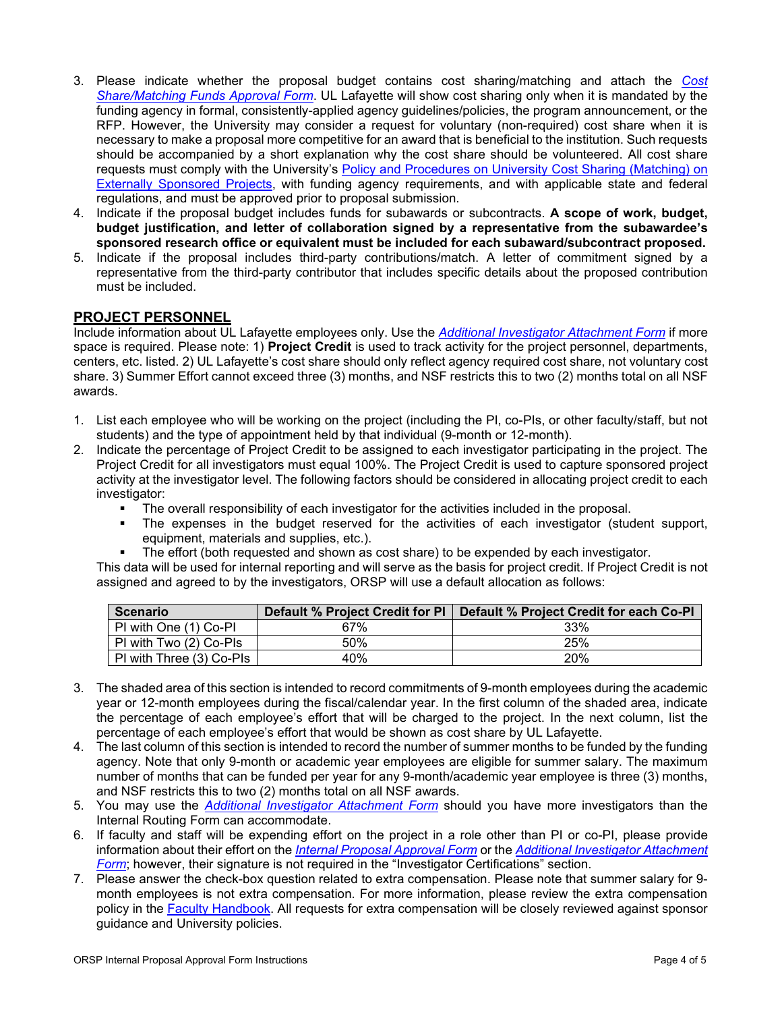- 3. Please indicate whether the proposal budget contains cost sharing/matching and attach the *[Cost](https://vpresearch.louisiana.edu/investigator-toolkit/forms-complete)  [Share/Matching Funds Approval Form](https://vpresearch.louisiana.edu/investigator-toolkit/forms-complete)*. UL Lafayette will show cost sharing only when it is mandated by the funding agency in formal, consistently-applied agency guidelines/policies, the program announcement, or the RFP. However, the University may consider a request for voluntary (non-required) cost share when it is necessary to make a proposal more competitive for an award that is beneficial to the institution. Such requests should be accompanied by a short explanation why the cost share should be volunteered. All cost share requests must comply with the University's Policy and Procedures on University Cost Sharing (Matching) on [Externally Sponsored Projects,](http://vpresearch.louisiana.edu/sites/research/files/Cost_Sharing_Policy-Formatted.pdf) with funding agency requirements, and with applicable state and federal regulations, and must be approved prior to proposal submission.
- 4. Indicate if the proposal budget includes funds for subawards or subcontracts. **A scope of work, budget, budget justification, and letter of collaboration signed by a representative from the subawardee's sponsored research office or equivalent must be included for each subaward/subcontract proposed.**
- 5. Indicate if the proposal includes third-party contributions/match. A letter of commitment signed by a representative from the third-party contributor that includes specific details about the proposed contribution must be included.

#### **PROJECT PERSONNEL**

Include information about UL Lafayette employees only. Use the *[Additional Investigator Attachment Form](https://vpresearch.louisiana.edu/investigator-toolkit/forms-complete)* if more space is required. Please note: 1) **Project Credit** is used to track activity for the project personnel, departments, centers, etc. listed. 2) UL Lafayette's cost share should only reflect agency required cost share, not voluntary cost share. 3) Summer Effort cannot exceed three (3) months, and NSF restricts this to two (2) months total on all NSF awards.

- 1. List each employee who will be working on the project (including the PI, co-PIs, or other faculty/staff, but not students) and the type of appointment held by that individual (9-month or 12-month).
- 2. Indicate the percentage of Project Credit to be assigned to each investigator participating in the project. The Project Credit for all investigators must equal 100%. The Project Credit is used to capture sponsored project activity at the investigator level. The following factors should be considered in allocating project credit to each investigator:
	- The overall responsibility of each investigator for the activities included in the proposal.
	- The expenses in the budget reserved for the activities of each investigator (student support, equipment, materials and supplies, etc.).
	- The effort (both requested and shown as cost share) to be expended by each investigator.

This data will be used for internal reporting and will serve as the basis for project credit. If Project Credit is not assigned and agreed to by the investigators, ORSP will use a default allocation as follows:

| Scenario                 |     | Default % Project Credit for PI   Default % Project Credit for each Co-PI |
|--------------------------|-----|---------------------------------------------------------------------------|
| PI with One (1) Co-PI    | 67% | 33%                                                                       |
| PI with Two (2) Co-PIs   | 50% | 25%                                                                       |
| PI with Three (3) Co-PIs | 40% | 20%                                                                       |

- 3. The shaded area of this section is intended to record commitments of 9-month employees during the academic year or 12-month employees during the fiscal/calendar year. In the first column of the shaded area, indicate the percentage of each employee's effort that will be charged to the project. In the next column, list the percentage of each employee's effort that would be shown as cost share by UL Lafayette.
- 4. The last column of this section is intended to record the number of summer months to be funded by the funding agency. Note that only 9-month or academic year employees are eligible for summer salary. The maximum number of months that can be funded per year for any 9-month/academic year employee is three (3) months, and NSF restricts this to two (2) months total on all NSF awards.
- 5. You may use the *[Additional Investigator Attachment Form](https://vpresearch.louisiana.edu/investigator-toolkit/forms-complete)* should you have more investigators than the Internal Routing Form can accommodate.
- 6. If faculty and staff will be expending effort on the project in a role other than PI or co-PI, please provide information about their effort on the *[Internal Proposal Approval Form](https://vpresearch.louisiana.edu/investigator-toolkit/forms-complete)* or the *[Additional Investigator Attachment](https://vpresearch.louisiana.edu/investigator-toolkit/forms-complete)  [Form](https://vpresearch.louisiana.edu/investigator-toolkit/forms-complete)*; however, their signature is not required in the "Investigator Certifications" section.
- 7. Please answer the check-box question related to extra compensation. Please note that summer salary for 9 month employees is not extra compensation. For more information, please review the extra compensation policy in the [Faculty Handbook.](https://academicaffairs.louisiana.edu/about-us/handbook-policies) All requests for extra compensation will be closely reviewed against sponsor guidance and University policies.